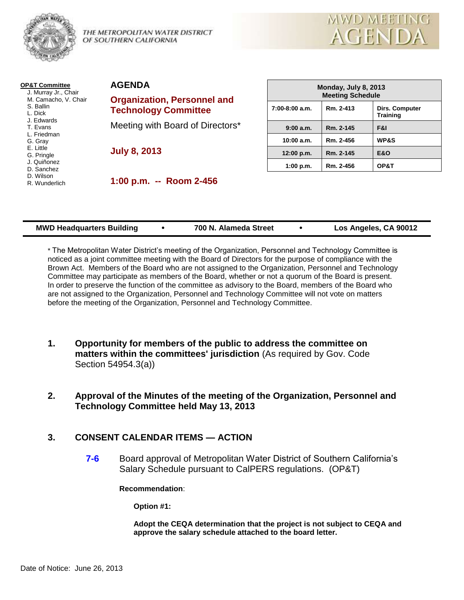

THE METROPOLITAN WATER DISTRICT OF SOUTHERN CALIFORNIA



| <b>OP&amp;T Committee</b>                                            | <b>AGENDA</b>                            |  |  |
|----------------------------------------------------------------------|------------------------------------------|--|--|
| J. Murray Jr., Chair<br>M. Camacho, V. Chair<br>S. Ballin<br>L. Dick | <b>Organizatior</b><br><b>Technology</b> |  |  |
| J. Edwards<br>T. Evans<br>L. Friedman                                | Meeting with                             |  |  |
| G. Gray<br>E. Little<br>G. Pringle<br>J. Quiñonez                    | <b>July 8, 2013</b>                      |  |  |
| D. Sanchez<br>D. Wilson<br>R. Wunderlich                             | $1:00$ p.m.                              |  |  |

| AGENDA          |  |
|-----------------|--|
| Orannization Do |  |

**Organization, Personnel and Committee** 

Board of Directors\*

**1:00 p.m. -- Room 2-456**

| Monday, July 8, 2013<br><b>Meeting Schedule</b> |                                                |                 |  |  |  |
|-------------------------------------------------|------------------------------------------------|-----------------|--|--|--|
| $7:00-8:00$ a.m.                                | Rm. 2-413<br>Dirs. Computer<br><b>Training</b> |                 |  |  |  |
| 9:00 a.m.                                       | Rm. 2-145                                      | F&I             |  |  |  |
| 10:00 a.m.                                      | Rm. 2-456                                      | <b>WP&amp;S</b> |  |  |  |
| 12:00 p.m.                                      | Rm. 2-145                                      | <b>E&amp;O</b>  |  |  |  |
| 1:00 p.m.                                       | Rm. 2-456                                      | OP&T            |  |  |  |

| <b>MWD Headquarters Building</b> | 700 N. Alameda Street | Los Angeles, CA 90012 |
|----------------------------------|-----------------------|-----------------------|
|                                  |                       |                       |

\* The Metropolitan Water District's meeting of the Organization, Personnel and Technology Committee is noticed as a joint committee meeting with the Board of Directors for the purpose of compliance with the Brown Act. Members of the Board who are not assigned to the Organization, Personnel and Technology Committee may participate as members of the Board, whether or not a quorum of the Board is present. In order to preserve the function of the committee as advisory to the Board, members of the Board who are not assigned to the Organization, Personnel and Technology Committee will not vote on matters before the meeting of the Organization, Personnel and Technology Committee.

- **1. Opportunity for members of the public to address the committee on matters within the committees' jurisdiction** (As required by Gov. Code Section 54954.3(a))
- **2. Approval of the Minutes of the meeting of the Organization, Personnel and Technology Committee held May 13, 2013**

# **3. CONSENT CALENDAR ITEMS — ACTION**

**7-6** Board approval of Metropolitan Water District of Southern California's Salary Schedule pursuant to CalPERS regulations. (OP&T)

**Recommendation**:

**Option #1:**

**Adopt the CEQA determination that the project is not subject to CEQA and approve the salary schedule attached to the board letter.**